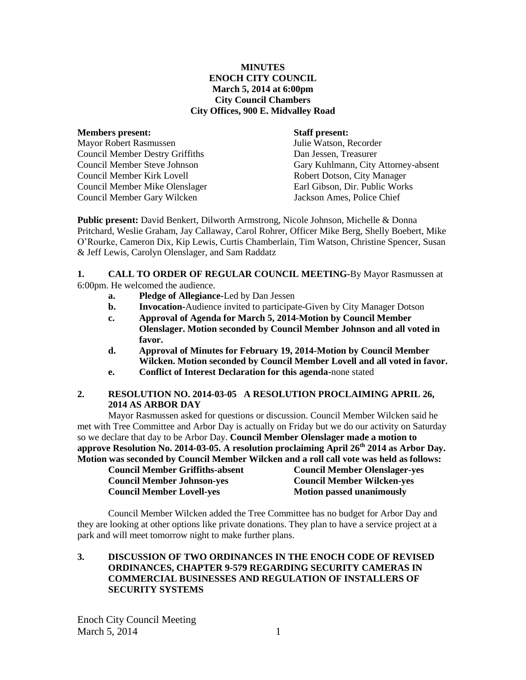#### **MINUTES ENOCH CITY COUNCIL March 5, 2014 at 6:00pm City Council Chambers City Offices, 900 E. Midvalley Road**

#### **Members present: Staff present:**

Mayor Robert Rasmussen Julie Watson, Recorder Council Member Destry Griffiths Dan Jessen, Treasurer Council Member Kirk Lovell Robert Dotson, City Manager Council Member Mike Olenslager Earl Gibson, Dir. Public Works Council Member Gary Wilcken Jackson Ames, Police Chief

Council Member Steve Johnson Gary Kuhlmann, City Attorney-absent

**Public present:** David Benkert, Dilworth Armstrong, Nicole Johnson, Michelle & Donna Pritchard, Weslie Graham, Jay Callaway, Carol Rohrer, Officer Mike Berg, Shelly Boebert, Mike O'Rourke, Cameron Dix, Kip Lewis, Curtis Chamberlain, Tim Watson, Christine Spencer, Susan & Jeff Lewis, Carolyn Olenslager, and Sam Raddatz

#### **1. CALL TO ORDER OF REGULAR COUNCIL MEETING-**By Mayor Rasmussen at 6:00pm. He welcomed the audience.

- **a. Pledge of Allegiance-**Led by Dan Jessen
- **b. Invocation-**Audience invited to participate-Given by City Manager Dotson
- **c. Approval of Agenda for March 5, 2014-Motion by Council Member Olenslager. Motion seconded by Council Member Johnson and all voted in favor.**
- **d. Approval of Minutes for February 19, 2014-Motion by Council Member Wilcken. Motion seconded by Council Member Lovell and all voted in favor.**
- **e. Conflict of Interest Declaration for this agenda-**none stated

## **2. RESOLUTION NO. 2014-03-05 A RESOLUTION PROCLAIMING APRIL 26, 2014 AS ARBOR DAY**

Mayor Rasmussen asked for questions or discussion. Council Member Wilcken said he met with Tree Committee and Arbor Day is actually on Friday but we do our activity on Saturday so we declare that day to be Arbor Day. **Council Member Olenslager made a motion to approve Resolution No. 2014-03-05. A resolution proclaiming April 26th 2014 as Arbor Day. Motion was seconded by Council Member Wilcken and a roll call vote was held as follows:**

| <b>Council Member Griffiths-absent</b> | <b>Council Member Olenslager-yes</b> |
|----------------------------------------|--------------------------------------|
| <b>Council Member Johnson-yes</b>      | <b>Council Member Wilcken-yes</b>    |
| <b>Council Member Lovell-yes</b>       | <b>Motion passed unanimously</b>     |

Council Member Wilcken added the Tree Committee has no budget for Arbor Day and they are looking at other options like private donations. They plan to have a service project at a park and will meet tomorrow night to make further plans.

## **3. DISCUSSION OF TWO ORDINANCES IN THE ENOCH CODE OF REVISED ORDINANCES, CHAPTER 9-579 REGARDING SECURITY CAMERAS IN COMMERCIAL BUSINESSES AND REGULATION OF INSTALLERS OF SECURITY SYSTEMS**

Enoch City Council Meeting March  $5, 2014$  1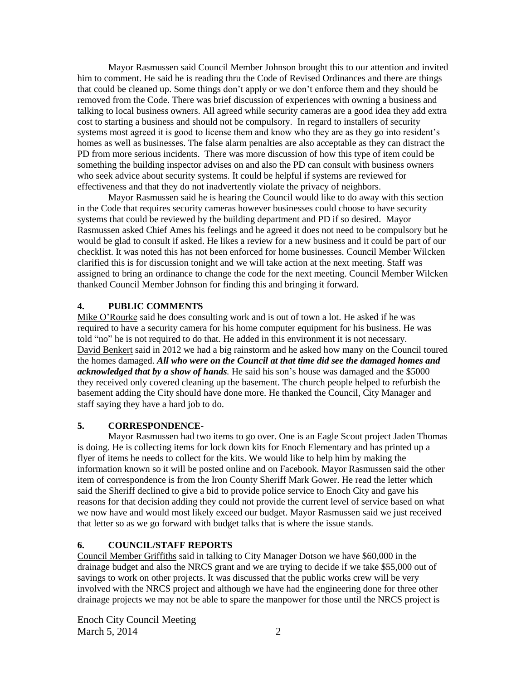Mayor Rasmussen said Council Member Johnson brought this to our attention and invited him to comment. He said he is reading thru the Code of Revised Ordinances and there are things that could be cleaned up. Some things don't apply or we don't enforce them and they should be removed from the Code. There was brief discussion of experiences with owning a business and talking to local business owners. All agreed while security cameras are a good idea they add extra cost to starting a business and should not be compulsory. In regard to installers of security systems most agreed it is good to license them and know who they are as they go into resident's homes as well as businesses. The false alarm penalties are also acceptable as they can distract the PD from more serious incidents. There was more discussion of how this type of item could be something the building inspector advises on and also the PD can consult with business owners who seek advice about security systems. It could be helpful if systems are reviewed for effectiveness and that they do not inadvertently violate the privacy of neighbors.

Mayor Rasmussen said he is hearing the Council would like to do away with this section in the Code that requires security cameras however businesses could choose to have security systems that could be reviewed by the building department and PD if so desired. Mayor Rasmussen asked Chief Ames his feelings and he agreed it does not need to be compulsory but he would be glad to consult if asked. He likes a review for a new business and it could be part of our checklist. It was noted this has not been enforced for home businesses. Council Member Wilcken clarified this is for discussion tonight and we will take action at the next meeting. Staff was assigned to bring an ordinance to change the code for the next meeting. Council Member Wilcken thanked Council Member Johnson for finding this and bringing it forward.

# **4. PUBLIC COMMENTS**

Mike O'Rourke said he does consulting work and is out of town a lot. He asked if he was required to have a security camera for his home computer equipment for his business. He was told "no" he is not required to do that. He added in this environment it is not necessary. David Benkert said in 2012 we had a big rainstorm and he asked how many on the Council toured the homes damaged. *All who were on the Council at that time did see the damaged homes and acknowledged that by a show of hands.* He said his son's house was damaged and the \$5000 they received only covered cleaning up the basement. The church people helped to refurbish the basement adding the City should have done more. He thanked the Council, City Manager and staff saying they have a hard job to do.

# **5. CORRESPONDENCE-**

Mayor Rasmussen had two items to go over. One is an Eagle Scout project Jaden Thomas is doing. He is collecting items for lock down kits for Enoch Elementary and has printed up a flyer of items he needs to collect for the kits. We would like to help him by making the information known so it will be posted online and on Facebook. Mayor Rasmussen said the other item of correspondence is from the Iron County Sheriff Mark Gower. He read the letter which said the Sheriff declined to give a bid to provide police service to Enoch City and gave his reasons for that decision adding they could not provide the current level of service based on what we now have and would most likely exceed our budget. Mayor Rasmussen said we just received that letter so as we go forward with budget talks that is where the issue stands.

# **6. COUNCIL/STAFF REPORTS**

Council Member Griffiths said in talking to City Manager Dotson we have \$60,000 in the drainage budget and also the NRCS grant and we are trying to decide if we take \$55,000 out of savings to work on other projects. It was discussed that the public works crew will be very involved with the NRCS project and although we have had the engineering done for three other drainage projects we may not be able to spare the manpower for those until the NRCS project is

Enoch City Council Meeting March 5, 2014 2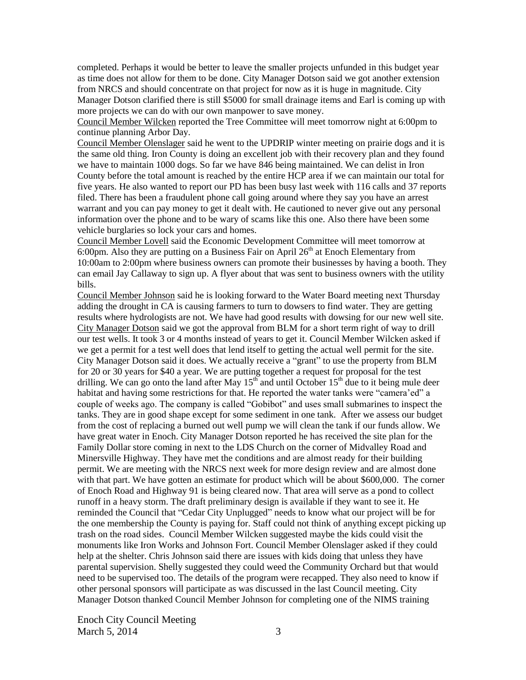completed. Perhaps it would be better to leave the smaller projects unfunded in this budget year as time does not allow for them to be done. City Manager Dotson said we got another extension from NRCS and should concentrate on that project for now as it is huge in magnitude. City Manager Dotson clarified there is still \$5000 for small drainage items and Earl is coming up with more projects we can do with our own manpower to save money.

Council Member Wilcken reported the Tree Committee will meet tomorrow night at 6:00pm to continue planning Arbor Day.

Council Member Olenslager said he went to the UPDRIP winter meeting on prairie dogs and it is the same old thing. Iron County is doing an excellent job with their recovery plan and they found we have to maintain 1000 dogs. So far we have 846 being maintained. We can delist in Iron County before the total amount is reached by the entire HCP area if we can maintain our total for five years. He also wanted to report our PD has been busy last week with 116 calls and 37 reports filed. There has been a fraudulent phone call going around where they say you have an arrest warrant and you can pay money to get it dealt with. He cautioned to never give out any personal information over the phone and to be wary of scams like this one. Also there have been some vehicle burglaries so lock your cars and homes.

Council Member Lovell said the Economic Development Committee will meet tomorrow at 6:00pm. Also they are putting on a Business Fair on April  $26<sup>th</sup>$  at Enoch Elementary from 10:00am to 2:00pm where business owners can promote their businesses by having a booth. They can email Jay Callaway to sign up. A flyer about that was sent to business owners with the utility bills.

Council Member Johnson said he is looking forward to the Water Board meeting next Thursday adding the drought in CA is causing farmers to turn to dowsers to find water. They are getting results where hydrologists are not. We have had good results with dowsing for our new well site. City Manager Dotson said we got the approval from BLM for a short term right of way to drill our test wells. It took 3 or 4 months instead of years to get it. Council Member Wilcken asked if we get a permit for a test well does that lend itself to getting the actual well permit for the site. City Manager Dotson said it does. We actually receive a "grant" to use the property from BLM for 20 or 30 years for \$40 a year. We are putting together a request for proposal for the test drilling. We can go onto the land after May  $15<sup>th</sup>$  and until October  $15<sup>th</sup>$  due to it being mule deer habitat and having some restrictions for that. He reported the water tanks were "camera'ed" a couple of weeks ago. The company is called "Gobibot" and uses small submarines to inspect the tanks. They are in good shape except for some sediment in one tank. After we assess our budget from the cost of replacing a burned out well pump we will clean the tank if our funds allow. We have great water in Enoch. City Manager Dotson reported he has received the site plan for the Family Dollar store coming in next to the LDS Church on the corner of Midvalley Road and Minersville Highway. They have met the conditions and are almost ready for their building permit. We are meeting with the NRCS next week for more design review and are almost done with that part. We have gotten an estimate for product which will be about \$600,000. The corner of Enoch Road and Highway 91 is being cleared now. That area will serve as a pond to collect runoff in a heavy storm. The draft preliminary design is available if they want to see it. He reminded the Council that "Cedar City Unplugged" needs to know what our project will be for the one membership the County is paying for. Staff could not think of anything except picking up trash on the road sides. Council Member Wilcken suggested maybe the kids could visit the monuments like Iron Works and Johnson Fort. Council Member Olenslager asked if they could help at the shelter. Chris Johnson said there are issues with kids doing that unless they have parental supervision. Shelly suggested they could weed the Community Orchard but that would need to be supervised too. The details of the program were recapped. They also need to know if other personal sponsors will participate as was discussed in the last Council meeting. City Manager Dotson thanked Council Member Johnson for completing one of the NIMS training

Enoch City Council Meeting March 5, 2014 3